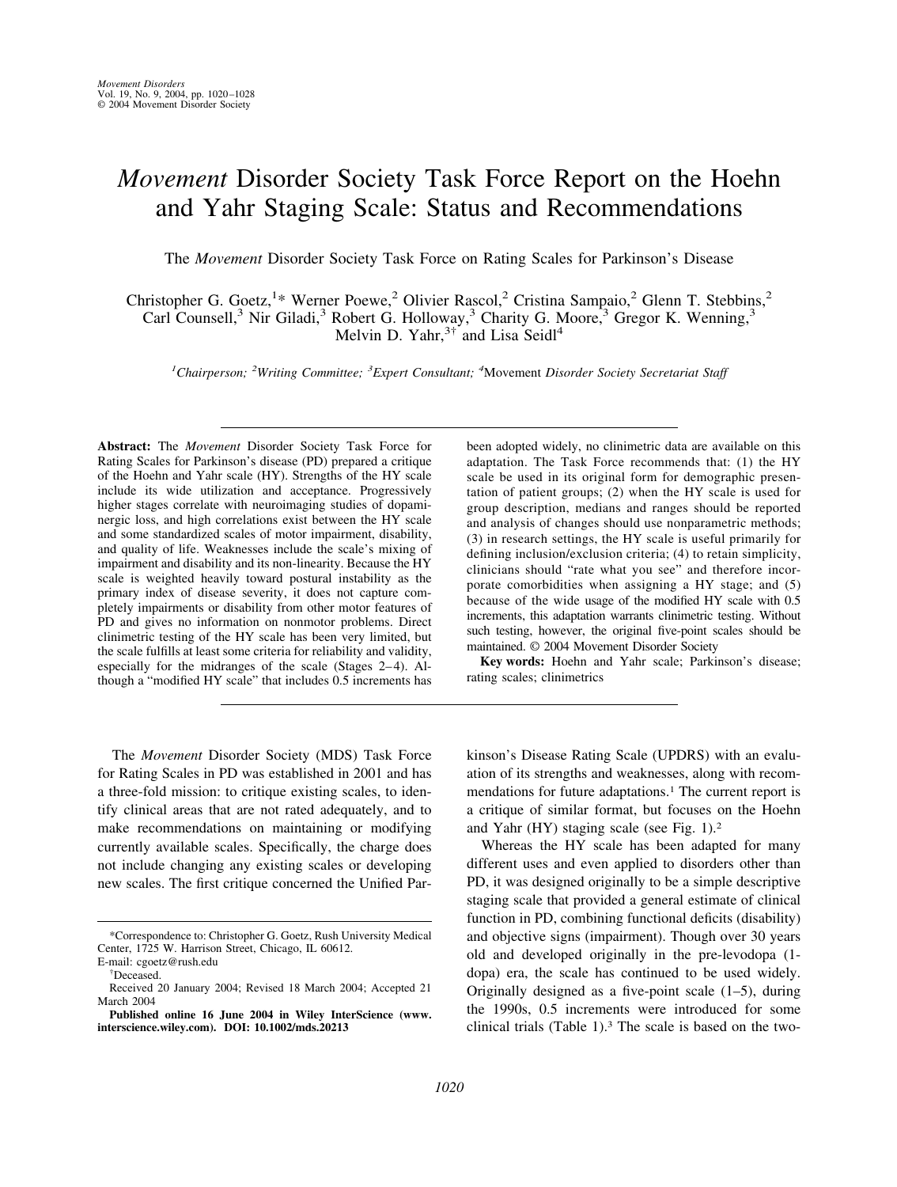# *Movement* Disorder Society Task Force Report on the Hoehn and Yahr Staging Scale: Status and Recommendations

The *Movement* Disorder Society Task Force on Rating Scales for Parkinson's Disease

Christopher G. Goetz,<sup>1\*</sup> Werner Poewe,<sup>2</sup> Olivier Rascol,<sup>2</sup> Cristina Sampaio,<sup>2</sup> Glenn T. Stebbins,<sup>2</sup> Carl Counsell,<sup>3</sup> Nir Giladi,<sup>3</sup> Robert G. Holloway,<sup>3</sup> Charity G. Moore,<sup>3</sup> Gregor K. Wenning,<sup>3</sup> Melvin D. Yahr, $3^{\dagger}$  and Lisa Seidl<sup>4</sup>

*1 Chairperson; <sup>2</sup> Writing Committee; <sup>3</sup> Expert Consultant; <sup>4</sup>* Movement *Disorder Society Secretariat Staff*

**Abstract:** The *Movement* Disorder Society Task Force for Rating Scales for Parkinson's disease (PD) prepared a critique of the Hoehn and Yahr scale (HY). Strengths of the HY scale include its wide utilization and acceptance. Progressively higher stages correlate with neuroimaging studies of dopaminergic loss, and high correlations exist between the HY scale and some standardized scales of motor impairment, disability, and quality of life. Weaknesses include the scale's mixing of impairment and disability and its non-linearity. Because the HY scale is weighted heavily toward postural instability as the primary index of disease severity, it does not capture completely impairments or disability from other motor features of PD and gives no information on nonmotor problems. Direct clinimetric testing of the HY scale has been very limited, but the scale fulfills at least some criteria for reliability and validity, especially for the midranges of the scale (Stages 2–4). Although a "modified HY scale" that includes 0.5 increments has

been adopted widely, no clinimetric data are available on this adaptation. The Task Force recommends that: (1) the HY scale be used in its original form for demographic presentation of patient groups; (2) when the HY scale is used for group description, medians and ranges should be reported and analysis of changes should use nonparametric methods; (3) in research settings, the HY scale is useful primarily for defining inclusion/exclusion criteria; (4) to retain simplicity, clinicians should "rate what you see" and therefore incorporate comorbidities when assigning a HY stage; and (5) because of the wide usage of the modified HY scale with 0.5 increments, this adaptation warrants clinimetric testing. Without such testing, however, the original five-point scales should be maintained. © 2004 Movement Disorder Society

**Key words:** Hoehn and Yahr scale; Parkinson's disease; rating scales; clinimetrics

The *Movement* Disorder Society (MDS) Task Force for Rating Scales in PD was established in 2001 and has a three-fold mission: to critique existing scales, to identify clinical areas that are not rated adequately, and to make recommendations on maintaining or modifying currently available scales. Specifically, the charge does not include changing any existing scales or developing new scales. The first critique concerned the Unified Parkinson's Disease Rating Scale (UPDRS) with an evaluation of its strengths and weaknesses, along with recommendations for future adaptations.<sup>1</sup> The current report is a critique of similar format, but focuses on the Hoehn and Yahr (HY) staging scale (see Fig. 1).2

Whereas the HY scale has been adapted for many different uses and even applied to disorders other than PD, it was designed originally to be a simple descriptive staging scale that provided a general estimate of clinical function in PD, combining functional deficits (disability) and objective signs (impairment). Though over 30 years old and developed originally in the pre-levodopa (1 dopa) era, the scale has continued to be used widely. Originally designed as a five-point scale  $(1-5)$ , during the 1990s, 0.5 increments were introduced for some clinical trials (Table 1).3 The scale is based on the two-

<sup>\*</sup>Correspondence to: Christopher G. Goetz, Rush University Medical Center, 1725 W. Harrison Street, Chicago, IL 60612. E-mail: cgoetz@rush.edu †

Deceased.

Received 20 January 2004; Revised 18 March 2004; Accepted 21 March 2004

**Published online 16 June 2004 in Wiley InterScience (www. interscience.wiley.com). DOI: 10.1002/mds.20213**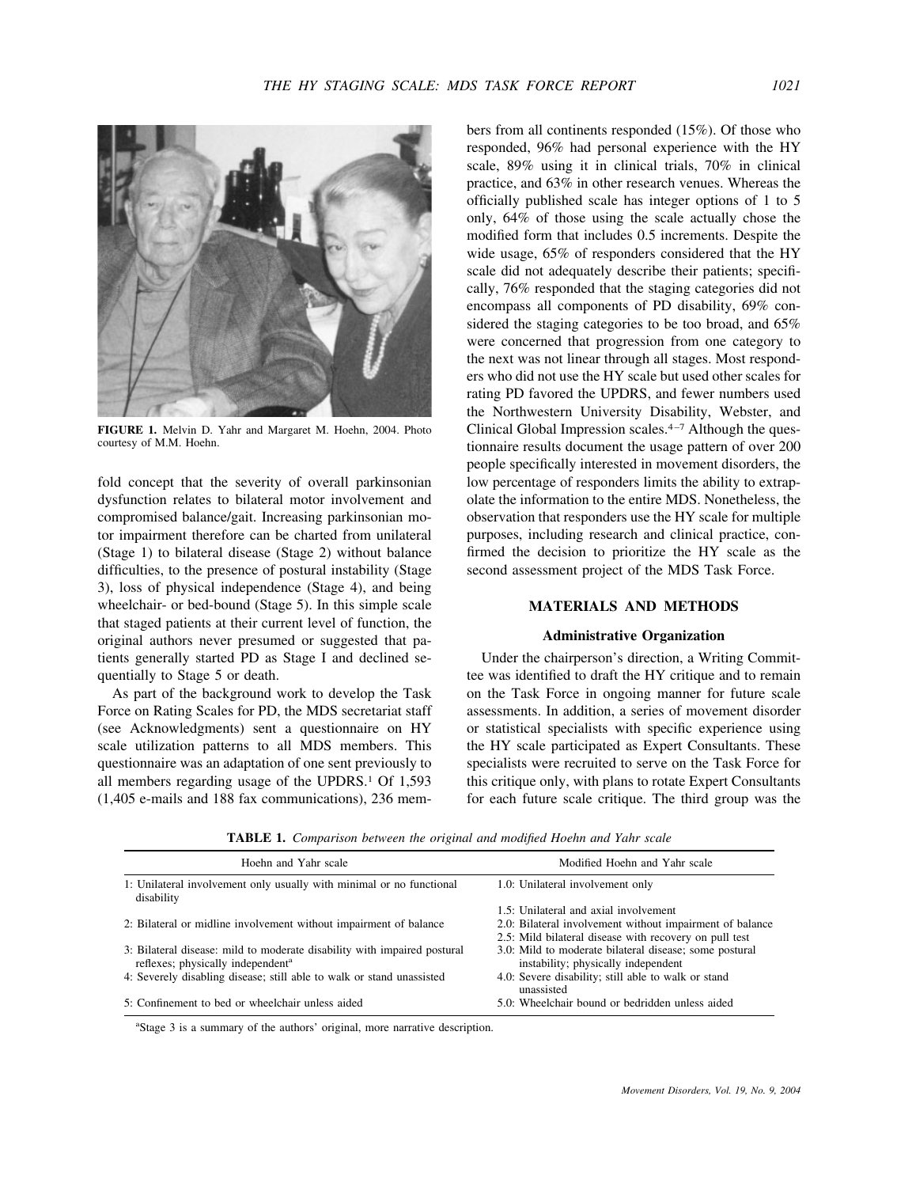

**FIGURE 1.** Melvin D. Yahr and Margaret M. Hoehn, 2004. Photo courtesy of M.M. Hoehn.

fold concept that the severity of overall parkinsonian dysfunction relates to bilateral motor involvement and compromised balance/gait. Increasing parkinsonian motor impairment therefore can be charted from unilateral (Stage 1) to bilateral disease (Stage 2) without balance difficulties, to the presence of postural instability (Stage 3), loss of physical independence (Stage 4), and being wheelchair- or bed-bound (Stage 5). In this simple scale that staged patients at their current level of function, the original authors never presumed or suggested that patients generally started PD as Stage I and declined sequentially to Stage 5 or death.

As part of the background work to develop the Task Force on Rating Scales for PD, the MDS secretariat staff (see Acknowledgments) sent a questionnaire on HY scale utilization patterns to all MDS members. This questionnaire was an adaptation of one sent previously to all members regarding usage of the UPDRS.<sup>1</sup> Of 1,593 (1,405 e-mails and 188 fax communications), 236 members from all continents responded (15%). Of those who responded, 96% had personal experience with the HY scale, 89% using it in clinical trials, 70% in clinical practice, and 63% in other research venues. Whereas the officially published scale has integer options of 1 to 5 only, 64% of those using the scale actually chose the modified form that includes 0.5 increments. Despite the wide usage, 65% of responders considered that the HY scale did not adequately describe their patients; specifically, 76% responded that the staging categories did not encompass all components of PD disability, 69% considered the staging categories to be too broad, and 65% were concerned that progression from one category to the next was not linear through all stages. Most responders who did not use the HY scale but used other scales for rating PD favored the UPDRS, and fewer numbers used the Northwestern University Disability, Webster, and Clinical Global Impression scales. $4-7$  Although the questionnaire results document the usage pattern of over 200 people specifically interested in movement disorders, the low percentage of responders limits the ability to extrapolate the information to the entire MDS. Nonetheless, the observation that responders use the HY scale for multiple purposes, including research and clinical practice, confirmed the decision to prioritize the HY scale as the second assessment project of the MDS Task Force.

## **MATERIALS AND METHODS**

#### **Administrative Organization**

Under the chairperson's direction, a Writing Committee was identified to draft the HY critique and to remain on the Task Force in ongoing manner for future scale assessments. In addition, a series of movement disorder or statistical specialists with specific experience using the HY scale participated as Expert Consultants. These specialists were recruited to serve on the Task Force for this critique only, with plans to rotate Expert Consultants for each future scale critique. The third group was the

**TABLE 1.** *Comparison between the original and modified Hoehn and Yahr scale*

| Hoehn and Yahr scale                                                                                                      | Modified Hoehn and Yahr scale                                                                 |
|---------------------------------------------------------------------------------------------------------------------------|-----------------------------------------------------------------------------------------------|
| 1: Unilateral involvement only usually with minimal or no functional<br>disability                                        | 1.0: Unilateral involvement only                                                              |
|                                                                                                                           | 1.5: Unilateral and axial involvement                                                         |
| 2: Bilateral or midline involvement without impairment of balance                                                         | 2.0: Bilateral involvement without impairment of balance                                      |
|                                                                                                                           | 2.5: Mild bilateral disease with recovery on pull test                                        |
| 3: Bilateral disease: mild to moderate disability with impaired postural<br>reflexes; physically independent <sup>a</sup> | 3.0: Mild to moderate bilateral disease; some postural<br>instability; physically independent |
| 4: Severely disabling disease; still able to walk or stand unassisted                                                     | 4.0: Severe disability; still able to walk or stand<br>unassisted                             |
| 5: Confinement to bed or wheelchair unless aided                                                                          | 5.0: Wheelchair bound or bedridden unless aided                                               |

<sup>a</sup>Stage 3 is a summary of the authors' original, more narrative description.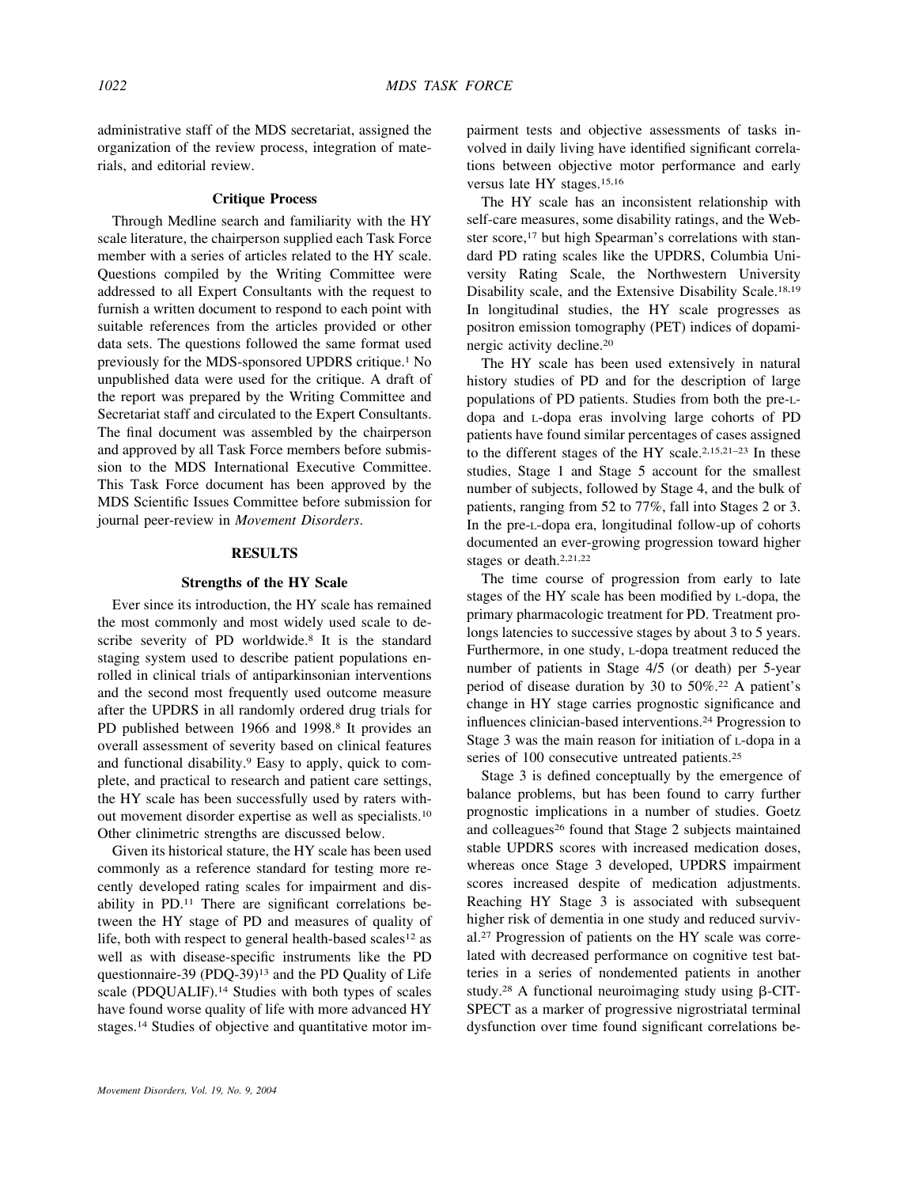administrative staff of the MDS secretariat, assigned the organization of the review process, integration of materials, and editorial review.

#### **Critique Process**

Through Medline search and familiarity with the HY scale literature, the chairperson supplied each Task Force member with a series of articles related to the HY scale. Questions compiled by the Writing Committee were addressed to all Expert Consultants with the request to furnish a written document to respond to each point with suitable references from the articles provided or other data sets. The questions followed the same format used previously for the MDS-sponsored UPDRS critique.1 No unpublished data were used for the critique. A draft of the report was prepared by the Writing Committee and Secretariat staff and circulated to the Expert Consultants. The final document was assembled by the chairperson and approved by all Task Force members before submission to the MDS International Executive Committee. This Task Force document has been approved by the MDS Scientific Issues Committee before submission for journal peer-review in *Movement Disorders*.

#### **RESULTS**

#### **Strengths of the HY Scale**

Ever since its introduction, the HY scale has remained the most commonly and most widely used scale to describe severity of PD worldwide.8 It is the standard staging system used to describe patient populations enrolled in clinical trials of antiparkinsonian interventions and the second most frequently used outcome measure after the UPDRS in all randomly ordered drug trials for PD published between 1966 and 1998.<sup>8</sup> It provides an overall assessment of severity based on clinical features and functional disability.9 Easy to apply, quick to complete, and practical to research and patient care settings, the HY scale has been successfully used by raters without movement disorder expertise as well as specialists.10 Other clinimetric strengths are discussed below.

Given its historical stature, the HY scale has been used commonly as a reference standard for testing more recently developed rating scales for impairment and disability in PD.11 There are significant correlations between the HY stage of PD and measures of quality of life, both with respect to general health-based scales<sup>12</sup> as well as with disease-specific instruments like the PD questionnaire-39 (PDQ-39)<sup>13</sup> and the PD Quality of Life scale (PDQUALIF).14 Studies with both types of scales have found worse quality of life with more advanced HY stages.14 Studies of objective and quantitative motor impairment tests and objective assessments of tasks involved in daily living have identified significant correlations between objective motor performance and early versus late HY stages.15,16

The HY scale has an inconsistent relationship with self-care measures, some disability ratings, and the Webster score,<sup>17</sup> but high Spearman's correlations with standard PD rating scales like the UPDRS, Columbia University Rating Scale, the Northwestern University Disability scale, and the Extensive Disability Scale.18,19 In longitudinal studies, the HY scale progresses as positron emission tomography (PET) indices of dopaminergic activity decline.20

The HY scale has been used extensively in natural history studies of PD and for the description of large populations of PD patients. Studies from both the pre-Ldopa and L-dopa eras involving large cohorts of PD patients have found similar percentages of cases assigned to the different stages of the HY scale.2,15,21–23 In these studies, Stage 1 and Stage 5 account for the smallest number of subjects, followed by Stage 4, and the bulk of patients, ranging from 52 to 77%, fall into Stages 2 or 3. In the pre-L-dopa era, longitudinal follow-up of cohorts documented an ever-growing progression toward higher stages or death.2,21,22

The time course of progression from early to late stages of the HY scale has been modified by L-dopa, the primary pharmacologic treatment for PD. Treatment prolongs latencies to successive stages by about 3 to 5 years. Furthermore, in one study, L-dopa treatment reduced the number of patients in Stage 4/5 (or death) per 5-year period of disease duration by 30 to 50%.22 A patient's change in HY stage carries prognostic significance and influences clinician-based interventions.24 Progression to Stage 3 was the main reason for initiation of L-dopa in a series of 100 consecutive untreated patients.25

Stage 3 is defined conceptually by the emergence of balance problems, but has been found to carry further prognostic implications in a number of studies. Goetz and colleagues<sup>26</sup> found that Stage 2 subjects maintained stable UPDRS scores with increased medication doses, whereas once Stage 3 developed, UPDRS impairment scores increased despite of medication adjustments. Reaching HY Stage 3 is associated with subsequent higher risk of dementia in one study and reduced survival.27 Progression of patients on the HY scale was correlated with decreased performance on cognitive test batteries in a series of nondemented patients in another study.<sup>28</sup> A functional neuroimaging study using  $\beta$ -CIT-SPECT as a marker of progressive nigrostriatal terminal dysfunction over time found significant correlations be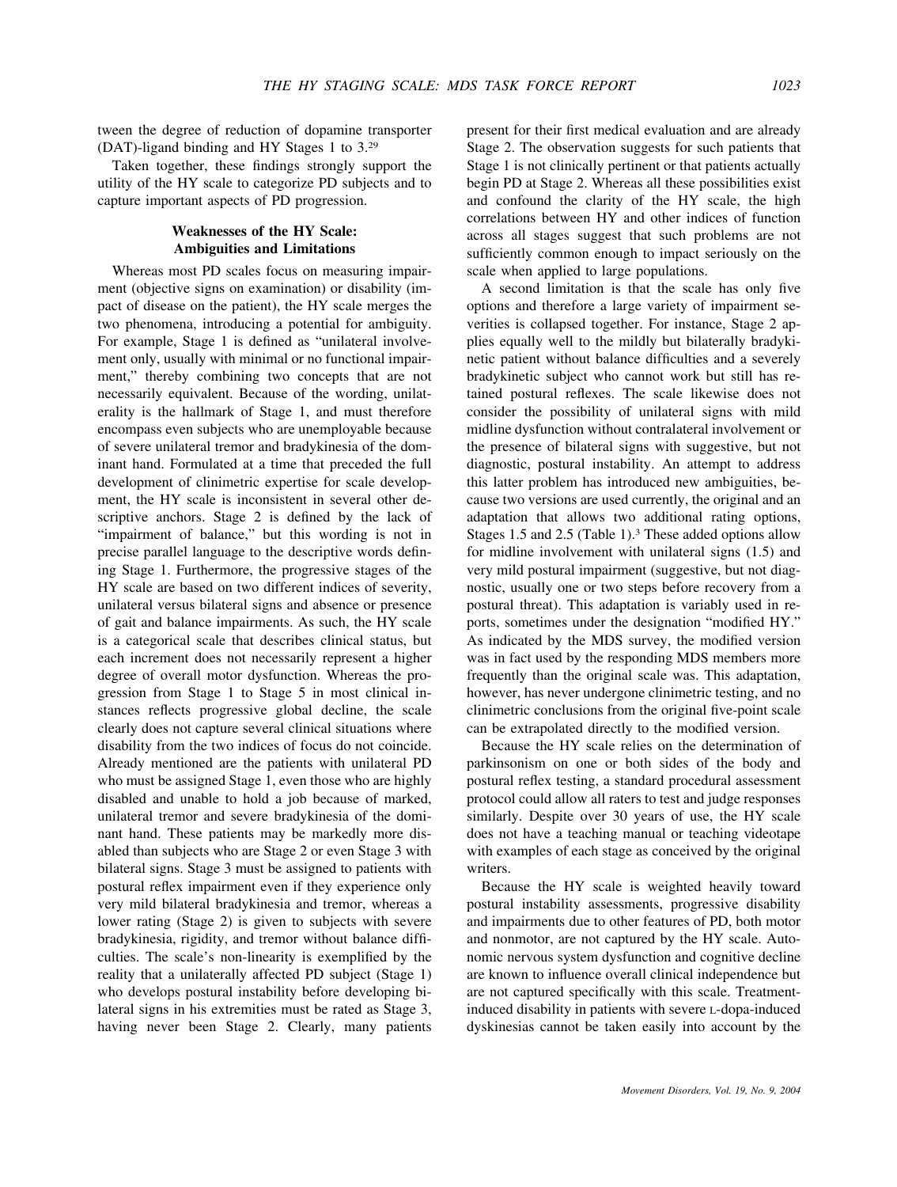tween the degree of reduction of dopamine transporter (DAT)-ligand binding and HY Stages 1 to 3.29

Taken together, these findings strongly support the utility of the HY scale to categorize PD subjects and to capture important aspects of PD progression.

## **Weaknesses of the HY Scale: Ambiguities and Limitations**

Whereas most PD scales focus on measuring impairment (objective signs on examination) or disability (impact of disease on the patient), the HY scale merges the two phenomena, introducing a potential for ambiguity. For example, Stage 1 is defined as "unilateral involvement only, usually with minimal or no functional impairment," thereby combining two concepts that are not necessarily equivalent. Because of the wording, unilaterality is the hallmark of Stage 1, and must therefore encompass even subjects who are unemployable because of severe unilateral tremor and bradykinesia of the dominant hand. Formulated at a time that preceded the full development of clinimetric expertise for scale development, the HY scale is inconsistent in several other descriptive anchors. Stage 2 is defined by the lack of "impairment of balance," but this wording is not in precise parallel language to the descriptive words defining Stage 1. Furthermore, the progressive stages of the HY scale are based on two different indices of severity, unilateral versus bilateral signs and absence or presence of gait and balance impairments. As such, the HY scale is a categorical scale that describes clinical status, but each increment does not necessarily represent a higher degree of overall motor dysfunction. Whereas the progression from Stage 1 to Stage 5 in most clinical instances reflects progressive global decline, the scale clearly does not capture several clinical situations where disability from the two indices of focus do not coincide. Already mentioned are the patients with unilateral PD who must be assigned Stage 1, even those who are highly disabled and unable to hold a job because of marked, unilateral tremor and severe bradykinesia of the dominant hand. These patients may be markedly more disabled than subjects who are Stage 2 or even Stage 3 with bilateral signs. Stage 3 must be assigned to patients with postural reflex impairment even if they experience only very mild bilateral bradykinesia and tremor, whereas a lower rating (Stage 2) is given to subjects with severe bradykinesia, rigidity, and tremor without balance difficulties. The scale's non-linearity is exemplified by the reality that a unilaterally affected PD subject (Stage 1) who develops postural instability before developing bilateral signs in his extremities must be rated as Stage 3, having never been Stage 2. Clearly, many patients present for their first medical evaluation and are already Stage 2. The observation suggests for such patients that Stage 1 is not clinically pertinent or that patients actually begin PD at Stage 2. Whereas all these possibilities exist and confound the clarity of the HY scale, the high correlations between HY and other indices of function across all stages suggest that such problems are not sufficiently common enough to impact seriously on the scale when applied to large populations.

A second limitation is that the scale has only five options and therefore a large variety of impairment severities is collapsed together. For instance, Stage 2 applies equally well to the mildly but bilaterally bradykinetic patient without balance difficulties and a severely bradykinetic subject who cannot work but still has retained postural reflexes. The scale likewise does not consider the possibility of unilateral signs with mild midline dysfunction without contralateral involvement or the presence of bilateral signs with suggestive, but not diagnostic, postural instability. An attempt to address this latter problem has introduced new ambiguities, because two versions are used currently, the original and an adaptation that allows two additional rating options, Stages 1.5 and 2.5 (Table 1).3 These added options allow for midline involvement with unilateral signs (1.5) and very mild postural impairment (suggestive, but not diagnostic, usually one or two steps before recovery from a postural threat). This adaptation is variably used in reports, sometimes under the designation "modified HY." As indicated by the MDS survey, the modified version was in fact used by the responding MDS members more frequently than the original scale was. This adaptation, however, has never undergone clinimetric testing, and no clinimetric conclusions from the original five-point scale can be extrapolated directly to the modified version.

Because the HY scale relies on the determination of parkinsonism on one or both sides of the body and postural reflex testing, a standard procedural assessment protocol could allow all raters to test and judge responses similarly. Despite over 30 years of use, the HY scale does not have a teaching manual or teaching videotape with examples of each stage as conceived by the original writers.

Because the HY scale is weighted heavily toward postural instability assessments, progressive disability and impairments due to other features of PD, both motor and nonmotor, are not captured by the HY scale. Autonomic nervous system dysfunction and cognitive decline are known to influence overall clinical independence but are not captured specifically with this scale. Treatmentinduced disability in patients with severe L-dopa-induced dyskinesias cannot be taken easily into account by the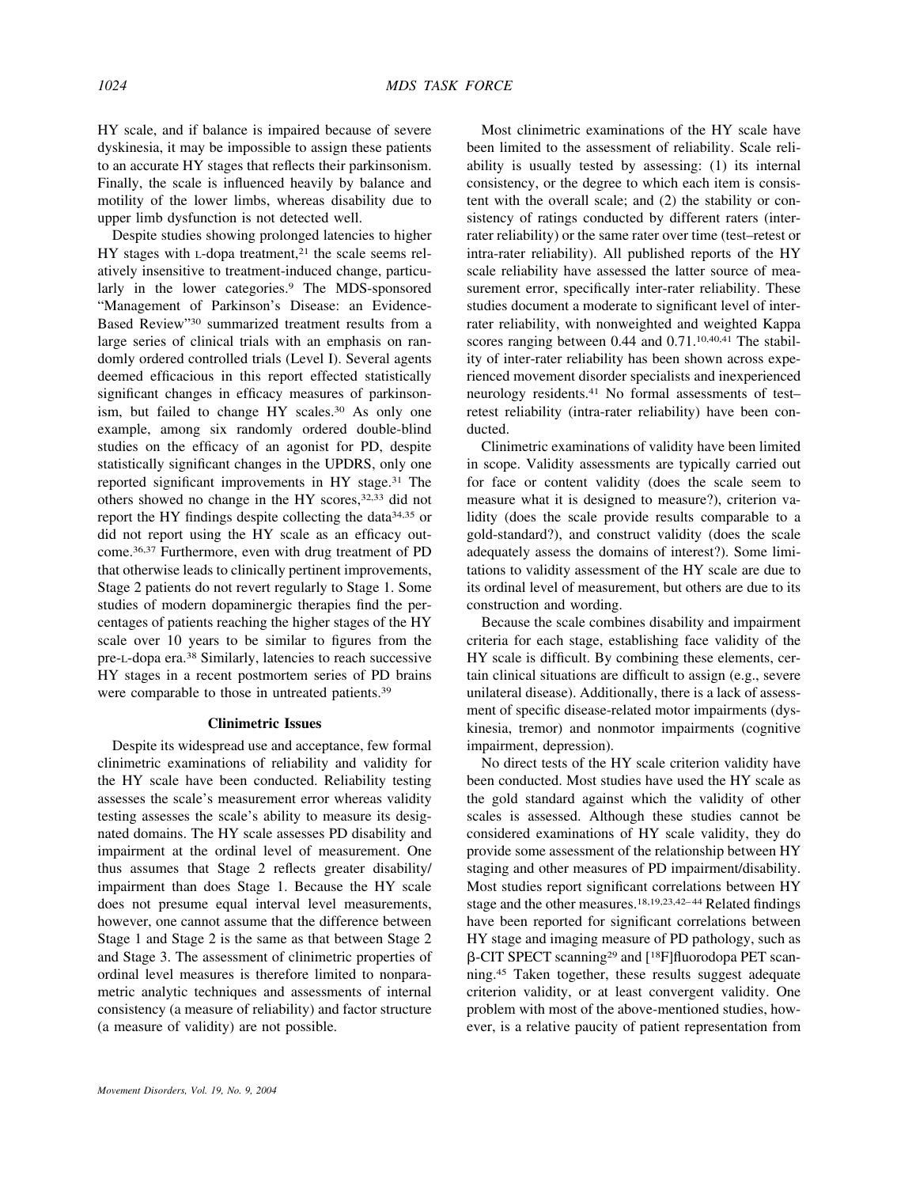HY scale, and if balance is impaired because of severe dyskinesia, it may be impossible to assign these patients to an accurate HY stages that reflects their parkinsonism. Finally, the scale is influenced heavily by balance and motility of the lower limbs, whereas disability due to upper limb dysfunction is not detected well.

Despite studies showing prolonged latencies to higher HY stages with L-dopa treatment,<sup>21</sup> the scale seems relatively insensitive to treatment-induced change, particularly in the lower categories.9 The MDS-sponsored "Management of Parkinson's Disease: an Evidence-Based Review"30 summarized treatment results from a large series of clinical trials with an emphasis on randomly ordered controlled trials (Level I). Several agents deemed efficacious in this report effected statistically significant changes in efficacy measures of parkinsonism, but failed to change HY scales.<sup>30</sup> As only one example, among six randomly ordered double-blind studies on the efficacy of an agonist for PD, despite statistically significant changes in the UPDRS, only one reported significant improvements in HY stage.31 The others showed no change in the HY scores,<sup>32,33</sup> did not report the HY findings despite collecting the data34,35 or did not report using the HY scale as an efficacy outcome.36,37 Furthermore, even with drug treatment of PD that otherwise leads to clinically pertinent improvements, Stage 2 patients do not revert regularly to Stage 1. Some studies of modern dopaminergic therapies find the percentages of patients reaching the higher stages of the HY scale over 10 years to be similar to figures from the pre-L-dopa era.38 Similarly, latencies to reach successive HY stages in a recent postmortem series of PD brains were comparable to those in untreated patients.<sup>39</sup>

### **Clinimetric Issues**

Despite its widespread use and acceptance, few formal clinimetric examinations of reliability and validity for the HY scale have been conducted. Reliability testing assesses the scale's measurement error whereas validity testing assesses the scale's ability to measure its designated domains. The HY scale assesses PD disability and impairment at the ordinal level of measurement. One thus assumes that Stage 2 reflects greater disability/ impairment than does Stage 1. Because the HY scale does not presume equal interval level measurements, however, one cannot assume that the difference between Stage 1 and Stage 2 is the same as that between Stage 2 and Stage 3. The assessment of clinimetric properties of ordinal level measures is therefore limited to nonparametric analytic techniques and assessments of internal consistency (a measure of reliability) and factor structure (a measure of validity) are not possible.

Most clinimetric examinations of the HY scale have been limited to the assessment of reliability. Scale reliability is usually tested by assessing: (1) its internal consistency, or the degree to which each item is consistent with the overall scale; and (2) the stability or consistency of ratings conducted by different raters (interrater reliability) or the same rater over time (test–retest or intra-rater reliability). All published reports of the HY scale reliability have assessed the latter source of measurement error, specifically inter-rater reliability. These studies document a moderate to significant level of interrater reliability, with nonweighted and weighted Kappa scores ranging between 0.44 and 0.71.10,40,41 The stability of inter-rater reliability has been shown across experienced movement disorder specialists and inexperienced neurology residents.41 No formal assessments of test– retest reliability (intra-rater reliability) have been conducted.

Clinimetric examinations of validity have been limited in scope. Validity assessments are typically carried out for face or content validity (does the scale seem to measure what it is designed to measure?), criterion validity (does the scale provide results comparable to a gold-standard?), and construct validity (does the scale adequately assess the domains of interest?). Some limitations to validity assessment of the HY scale are due to its ordinal level of measurement, but others are due to its construction and wording.

Because the scale combines disability and impairment criteria for each stage, establishing face validity of the HY scale is difficult. By combining these elements, certain clinical situations are difficult to assign (e.g., severe unilateral disease). Additionally, there is a lack of assessment of specific disease-related motor impairments (dyskinesia, tremor) and nonmotor impairments (cognitive impairment, depression).

No direct tests of the HY scale criterion validity have been conducted. Most studies have used the HY scale as the gold standard against which the validity of other scales is assessed. Although these studies cannot be considered examinations of HY scale validity, they do provide some assessment of the relationship between HY staging and other measures of PD impairment/disability. Most studies report significant correlations between HY stage and the other measures.18,19,23,42– 44 Related findings have been reported for significant correlations between HY stage and imaging measure of PD pathology, such as -CIT SPECT scanning29 and [18F]fluorodopa PET scanning.45 Taken together, these results suggest adequate criterion validity, or at least convergent validity. One problem with most of the above-mentioned studies, however, is a relative paucity of patient representation from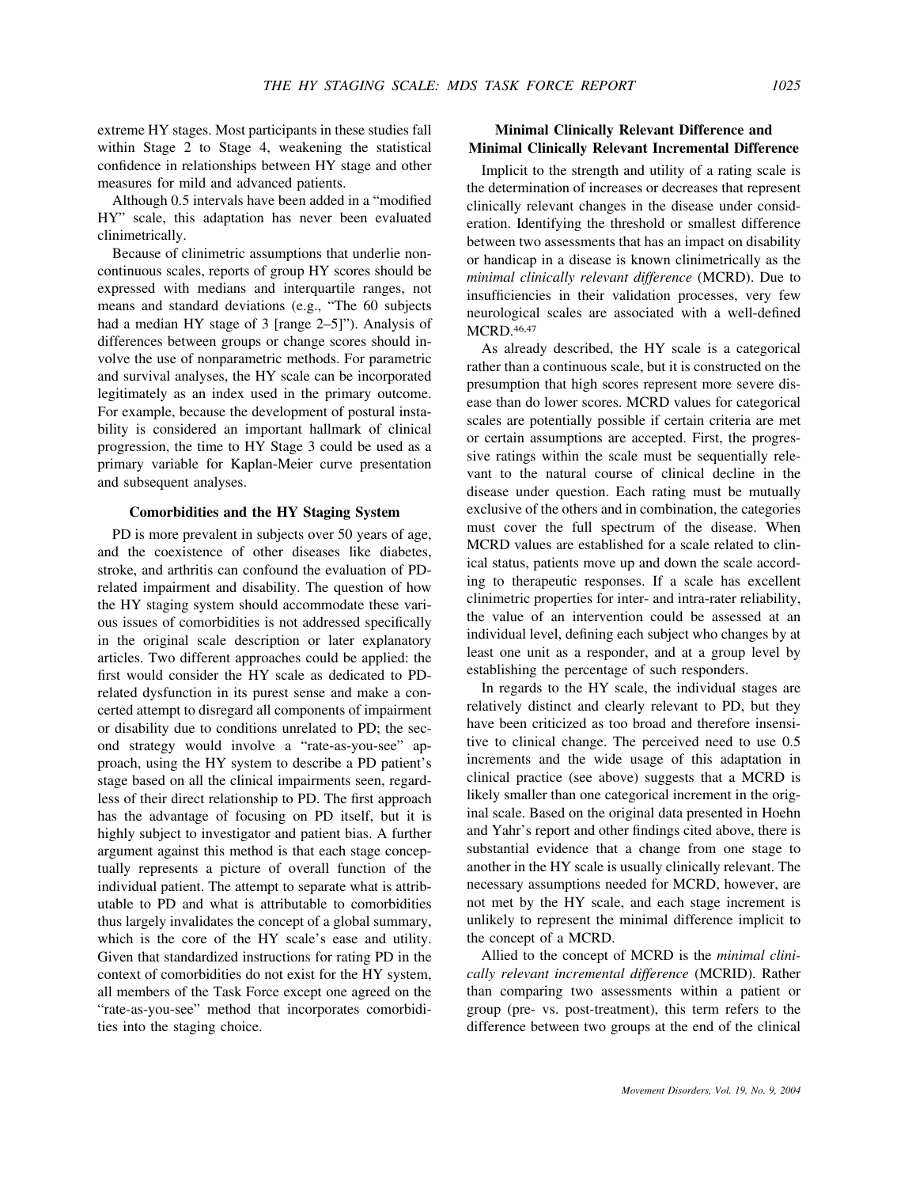measures for mild and advanced patients. Although 0.5 intervals have been added in a "modified HY" scale, this adaptation has never been evaluated clinimetrically.

Because of clinimetric assumptions that underlie noncontinuous scales, reports of group HY scores should be expressed with medians and interquartile ranges, not means and standard deviations (e.g., "The 60 subjects had a median HY stage of 3 [range 2–5]"). Analysis of differences between groups or change scores should involve the use of nonparametric methods. For parametric and survival analyses, the HY scale can be incorporated legitimately as an index used in the primary outcome. For example, because the development of postural instability is considered an important hallmark of clinical progression, the time to HY Stage 3 could be used as a primary variable for Kaplan-Meier curve presentation and subsequent analyses.

### **Comorbidities and the HY Staging System**

PD is more prevalent in subjects over 50 years of age, and the coexistence of other diseases like diabetes, stroke, and arthritis can confound the evaluation of PDrelated impairment and disability. The question of how the HY staging system should accommodate these various issues of comorbidities is not addressed specifically in the original scale description or later explanatory articles. Two different approaches could be applied: the first would consider the HY scale as dedicated to PDrelated dysfunction in its purest sense and make a concerted attempt to disregard all components of impairment or disability due to conditions unrelated to PD; the second strategy would involve a "rate-as-you-see" approach, using the HY system to describe a PD patient's stage based on all the clinical impairments seen, regardless of their direct relationship to PD. The first approach has the advantage of focusing on PD itself, but it is highly subject to investigator and patient bias. A further argument against this method is that each stage conceptually represents a picture of overall function of the individual patient. The attempt to separate what is attributable to PD and what is attributable to comorbidities thus largely invalidates the concept of a global summary, which is the core of the HY scale's ease and utility. Given that standardized instructions for rating PD in the context of comorbidities do not exist for the HY system, all members of the Task Force except one agreed on the "rate-as-you-see" method that incorporates comorbidities into the staging choice.

## **Minimal Clinically Relevant Difference and Minimal Clinically Relevant Incremental Difference**

Implicit to the strength and utility of a rating scale is the determination of increases or decreases that represent clinically relevant changes in the disease under consideration. Identifying the threshold or smallest difference between two assessments that has an impact on disability or handicap in a disease is known clinimetrically as the *minimal clinically relevant difference* (MCRD). Due to insufficiencies in their validation processes, very few neurological scales are associated with a well-defined MCRD.46,47

As already described, the HY scale is a categorical rather than a continuous scale, but it is constructed on the presumption that high scores represent more severe disease than do lower scores. MCRD values for categorical scales are potentially possible if certain criteria are met or certain assumptions are accepted. First, the progressive ratings within the scale must be sequentially relevant to the natural course of clinical decline in the disease under question. Each rating must be mutually exclusive of the others and in combination, the categories must cover the full spectrum of the disease. When MCRD values are established for a scale related to clinical status, patients move up and down the scale according to therapeutic responses. If a scale has excellent clinimetric properties for inter- and intra-rater reliability, the value of an intervention could be assessed at an individual level, defining each subject who changes by at least one unit as a responder, and at a group level by establishing the percentage of such responders.

In regards to the HY scale, the individual stages are relatively distinct and clearly relevant to PD, but they have been criticized as too broad and therefore insensitive to clinical change. The perceived need to use 0.5 increments and the wide usage of this adaptation in clinical practice (see above) suggests that a MCRD is likely smaller than one categorical increment in the original scale. Based on the original data presented in Hoehn and Yahr's report and other findings cited above, there is substantial evidence that a change from one stage to another in the HY scale is usually clinically relevant. The necessary assumptions needed for MCRD, however, are not met by the HY scale, and each stage increment is unlikely to represent the minimal difference implicit to the concept of a MCRD.

Allied to the concept of MCRD is the *minimal clinically relevant incremental difference* (MCRID). Rather than comparing two assessments within a patient or group (pre- vs. post-treatment), this term refers to the difference between two groups at the end of the clinical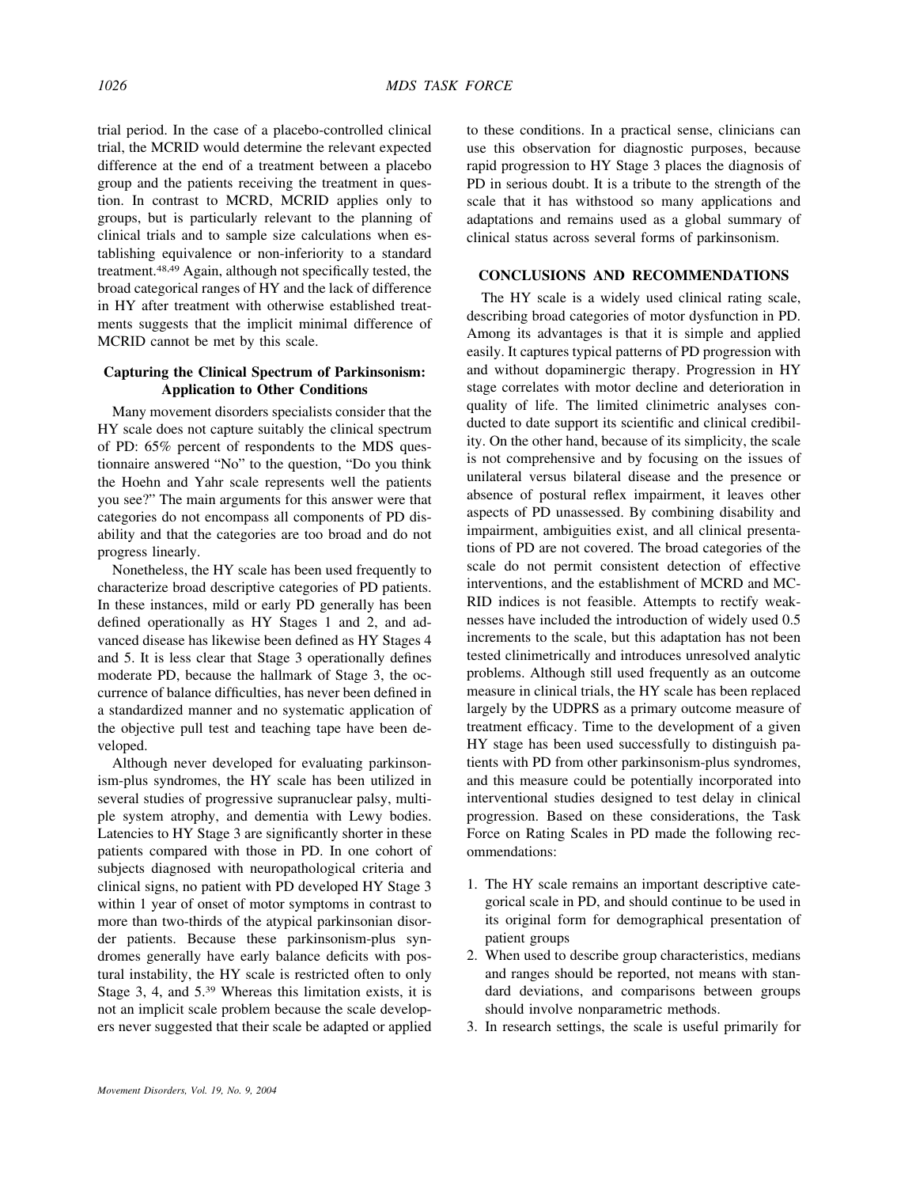trial period. In the case of a placebo-controlled clinical trial, the MCRID would determine the relevant expected difference at the end of a treatment between a placebo group and the patients receiving the treatment in question. In contrast to MCRD, MCRID applies only to groups, but is particularly relevant to the planning of clinical trials and to sample size calculations when establishing equivalence or non-inferiority to a standard treatment.48,49 Again, although not specifically tested, the broad categorical ranges of HY and the lack of difference in HY after treatment with otherwise established treatments suggests that the implicit minimal difference of MCRID cannot be met by this scale.

## **Capturing the Clinical Spectrum of Parkinsonism: Application to Other Conditions**

Many movement disorders specialists consider that the HY scale does not capture suitably the clinical spectrum of PD: 65% percent of respondents to the MDS questionnaire answered "No" to the question, "Do you think the Hoehn and Yahr scale represents well the patients you see?" The main arguments for this answer were that categories do not encompass all components of PD disability and that the categories are too broad and do not progress linearly.

Nonetheless, the HY scale has been used frequently to characterize broad descriptive categories of PD patients. In these instances, mild or early PD generally has been defined operationally as HY Stages 1 and 2, and advanced disease has likewise been defined as HY Stages 4 and 5. It is less clear that Stage 3 operationally defines moderate PD, because the hallmark of Stage 3, the occurrence of balance difficulties, has never been defined in a standardized manner and no systematic application of the objective pull test and teaching tape have been developed.

Although never developed for evaluating parkinsonism-plus syndromes, the HY scale has been utilized in several studies of progressive supranuclear palsy, multiple system atrophy, and dementia with Lewy bodies. Latencies to HY Stage 3 are significantly shorter in these patients compared with those in PD. In one cohort of subjects diagnosed with neuropathological criteria and clinical signs, no patient with PD developed HY Stage 3 within 1 year of onset of motor symptoms in contrast to more than two-thirds of the atypical parkinsonian disorder patients. Because these parkinsonism-plus syndromes generally have early balance deficits with postural instability, the HY scale is restricted often to only Stage 3, 4, and 5.39 Whereas this limitation exists, it is not an implicit scale problem because the scale developers never suggested that their scale be adapted or applied to these conditions. In a practical sense, clinicians can use this observation for diagnostic purposes, because rapid progression to HY Stage 3 places the diagnosis of PD in serious doubt. It is a tribute to the strength of the scale that it has withstood so many applications and adaptations and remains used as a global summary of clinical status across several forms of parkinsonism.

## **CONCLUSIONS AND RECOMMENDATIONS**

The HY scale is a widely used clinical rating scale, describing broad categories of motor dysfunction in PD. Among its advantages is that it is simple and applied easily. It captures typical patterns of PD progression with and without dopaminergic therapy. Progression in HY stage correlates with motor decline and deterioration in quality of life. The limited clinimetric analyses conducted to date support its scientific and clinical credibility. On the other hand, because of its simplicity, the scale is not comprehensive and by focusing on the issues of unilateral versus bilateral disease and the presence or absence of postural reflex impairment, it leaves other aspects of PD unassessed. By combining disability and impairment, ambiguities exist, and all clinical presentations of PD are not covered. The broad categories of the scale do not permit consistent detection of effective interventions, and the establishment of MCRD and MC-RID indices is not feasible. Attempts to rectify weaknesses have included the introduction of widely used 0.5 increments to the scale, but this adaptation has not been tested clinimetrically and introduces unresolved analytic problems. Although still used frequently as an outcome measure in clinical trials, the HY scale has been replaced largely by the UDPRS as a primary outcome measure of treatment efficacy. Time to the development of a given HY stage has been used successfully to distinguish patients with PD from other parkinsonism-plus syndromes, and this measure could be potentially incorporated into interventional studies designed to test delay in clinical progression. Based on these considerations, the Task Force on Rating Scales in PD made the following recommendations:

- 1. The HY scale remains an important descriptive categorical scale in PD, and should continue to be used in its original form for demographical presentation of patient groups
- 2. When used to describe group characteristics, medians and ranges should be reported, not means with standard deviations, and comparisons between groups should involve nonparametric methods.
- 3. In research settings, the scale is useful primarily for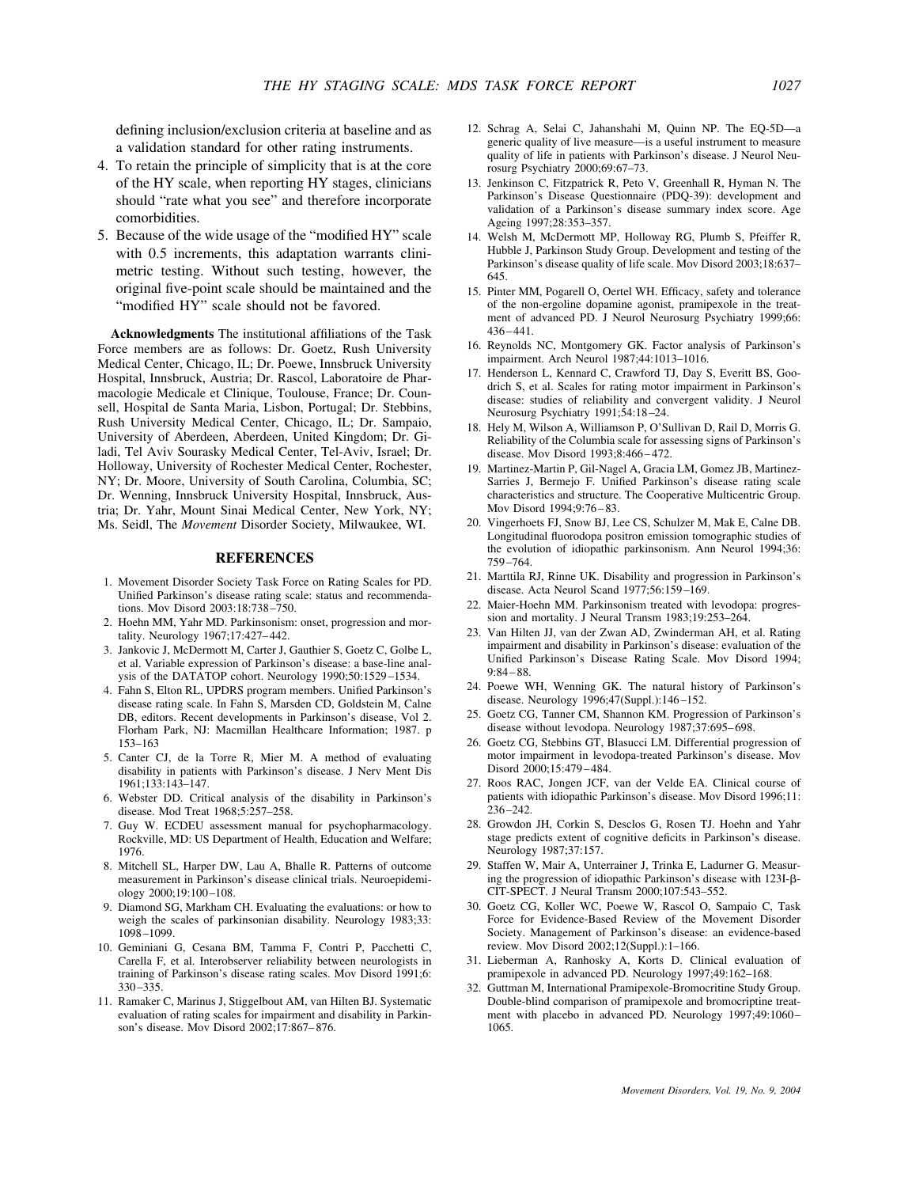defining inclusion/exclusion criteria at baseline and as a validation standard for other rating instruments.

- 4. To retain the principle of simplicity that is at the core of the HY scale, when reporting HY stages, clinicians should "rate what you see" and therefore incorporate comorbidities.
- 5. Because of the wide usage of the "modified HY" scale with  $0.5$  increments, this adaptation warrants clinimetric testing. Without such testing, however, the original five-point scale should be maintained and the "modified HY" scale should not be favored.

**Acknowledgments** The institutional affiliations of the Task Force members are as follows: Dr. Goetz, Rush University Medical Center, Chicago, IL; Dr. Poewe, Innsbruck University Hospital, Innsbruck, Austria; Dr. Rascol, Laboratoire de Pharmacologie Medicale et Clinique, Toulouse, France; Dr. Counsell, Hospital de Santa Maria, Lisbon, Portugal; Dr. Stebbins, Rush University Medical Center, Chicago, IL; Dr. Sampaio, University of Aberdeen, Aberdeen, United Kingdom; Dr. Giladi, Tel Aviv Sourasky Medical Center, Tel-Aviv, Israel; Dr. Holloway, University of Rochester Medical Center, Rochester, NY; Dr. Moore, University of South Carolina, Columbia, SC; Dr. Wenning, Innsbruck University Hospital, Innsbruck, Austria; Dr. Yahr, Mount Sinai Medical Center, New York, NY; Ms. Seidl, The *Movement* Disorder Society, Milwaukee, WI.

#### **REFERENCES**

- 1. Movement Disorder Society Task Force on Rating Scales for PD. Unified Parkinson's disease rating scale: status and recommendations. Mov Disord 2003:18:738 –750.
- 2. Hoehn MM, Yahr MD. Parkinsonism: onset, progression and mortality. Neurology 1967;17:427– 442.
- 3. Jankovic J, McDermott M, Carter J, Gauthier S, Goetz C, Golbe L, et al. Variable expression of Parkinson's disease: a base-line analysis of the DATATOP cohort. Neurology 1990;50:1529 –1534.
- 4. Fahn S, Elton RL, UPDRS program members. Unified Parkinson's disease rating scale. In Fahn S, Marsden CD, Goldstein M, Calne DB, editors. Recent developments in Parkinson's disease, Vol 2. Florham Park, NJ: Macmillan Healthcare Information; 1987. p 153–163
- 5. Canter CJ, de la Torre R, Mier M. A method of evaluating disability in patients with Parkinson's disease. J Nerv Ment Dis 1961;133:143–147.
- 6. Webster DD. Critical analysis of the disability in Parkinson's disease. Mod Treat 1968;5:257–258.
- 7. Guy W. ECDEU assessment manual for psychopharmacology. Rockville, MD: US Department of Health, Education and Welfare; 1976.
- 8. Mitchell SL, Harper DW, Lau A, Bhalle R. Patterns of outcome measurement in Parkinson's disease clinical trials. Neuroepidemiology 2000;19:100 –108.
- 9. Diamond SG, Markham CH. Evaluating the evaluations: or how to weigh the scales of parkinsonian disability. Neurology 1983;33: 1098 –1099.
- 10. Geminiani G, Cesana BM, Tamma F, Contri P, Pacchetti C, Carella F, et al. Interobserver reliability between neurologists in training of Parkinson's disease rating scales. Mov Disord 1991;6: 330 –335.
- 11. Ramaker C, Marinus J, Stiggelbout AM, van Hilten BJ. Systematic evaluation of rating scales for impairment and disability in Parkinson's disease. Mov Disord 2002;17:867– 876.
- 12. Schrag A, Selai C, Jahanshahi M, Quinn NP. The EQ-5D—a generic quality of live measure—is a useful instrument to measure quality of life in patients with Parkinson's disease. J Neurol Neurosurg Psychiatry 2000;69:67–73.
- 13. Jenkinson C, Fitzpatrick R, Peto V, Greenhall R, Hyman N. The Parkinson's Disease Questionnaire (PDQ-39): development and validation of a Parkinson's disease summary index score. Age Ageing 1997;28:353–357.
- 14. Welsh M, McDermott MP, Holloway RG, Plumb S, Pfeiffer R, Hubble J, Parkinson Study Group. Development and testing of the Parkinson's disease quality of life scale. Mov Disord 2003;18:637– 645.
- 15. Pinter MM, Pogarell O, Oertel WH. Efficacy, safety and tolerance of the non-ergoline dopamine agonist, pramipexole in the treatment of advanced PD. J Neurol Neurosurg Psychiatry 1999;66: 436 – 441.
- 16. Reynolds NC, Montgomery GK. Factor analysis of Parkinson's impairment. Arch Neurol 1987;44:1013–1016.
- 17. Henderson L, Kennard C, Crawford TJ, Day S, Everitt BS, Goodrich S, et al. Scales for rating motor impairment in Parkinson's disease: studies of reliability and convergent validity. J Neurol Neurosurg Psychiatry 1991;54:18 –24.
- 18. Hely M, Wilson A, Williamson P, O'Sullivan D, Rail D, Morris G. Reliability of the Columbia scale for assessing signs of Parkinson's disease. Mov Disord 1993;8:466 – 472.
- 19. Martinez-Martin P, Gil-Nagel A, Gracia LM, Gomez JB, Martinez-Sarries J, Bermejo F. Unified Parkinson's disease rating scale characteristics and structure. The Cooperative Multicentric Group. Mov Disord 1994;9:76 – 83.
- 20. Vingerhoets FJ, Snow BJ, Lee CS, Schulzer M, Mak E, Calne DB. Longitudinal fluorodopa positron emission tomographic studies of the evolution of idiopathic parkinsonism. Ann Neurol 1994;36: 759 –764.
- 21. Marttila RJ, Rinne UK. Disability and progression in Parkinson's disease. Acta Neurol Scand 1977;56:159 –169.
- 22. Maier-Hoehn MM. Parkinsonism treated with levodopa: progression and mortality. J Neural Transm 1983;19:253–264.
- 23. Van Hilten JJ, van der Zwan AD, Zwinderman AH, et al. Rating impairment and disability in Parkinson's disease: evaluation of the Unified Parkinson's Disease Rating Scale. Mov Disord 1994;  $9:84 - 88.$
- 24. Poewe WH, Wenning GK. The natural history of Parkinson's disease. Neurology 1996;47(Suppl.):146 –152.
- 25. Goetz CG, Tanner CM, Shannon KM. Progression of Parkinson's disease without levodopa. Neurology 1987;37:695– 698.
- 26. Goetz CG, Stebbins GT, Blasucci LM. Differential progression of motor impairment in levodopa-treated Parkinson's disease. Mov Disord 2000;15:479 – 484.
- 27. Roos RAC, Jongen JCF, van der Velde EA. Clinical course of patients with idiopathic Parkinson's disease. Mov Disord 1996;11: 236 –242.
- 28. Growdon JH, Corkin S, Desclos G, Rosen TJ. Hoehn and Yahr stage predicts extent of cognitive deficits in Parkinson's disease. Neurology 1987;37:157.
- 29. Staffen W, Mair A, Unterrainer J, Trinka E, Ladurner G. Measuring the progression of idiopathic Parkinson's disease with 123I- $\beta$ -CIT-SPECT. J Neural Transm 2000;107:543–552.
- 30. Goetz CG, Koller WC, Poewe W, Rascol O, Sampaio C, Task Force for Evidence-Based Review of the Movement Disorder Society. Management of Parkinson's disease: an evidence-based review. Mov Disord 2002;12(Suppl.):1–166.
- 31. Lieberman A, Ranhosky A, Korts D. Clinical evaluation of pramipexole in advanced PD. Neurology 1997;49:162–168.
- 32. Guttman M, International Pramipexole-Bromocritine Study Group. Double-blind comparison of pramipexole and bromocriptine treatment with placebo in advanced PD. Neurology 1997;49:1060 – 1065.